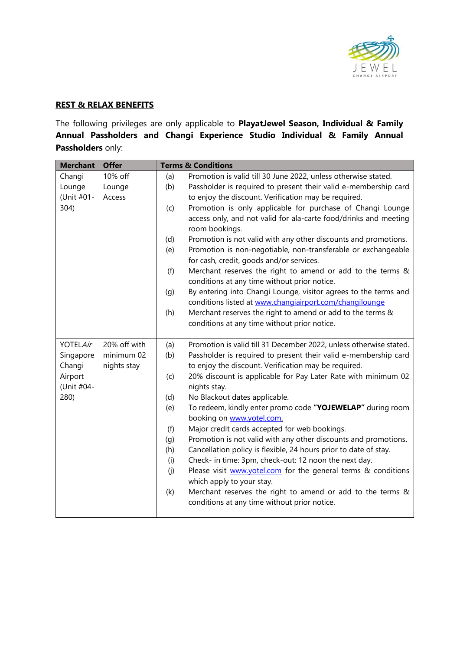

## **REST & RELAX BENEFITS**

The following privileges are only applicable to **PlayatJewel Season, Individual & Family Annual Passholders and Changi Experience Studio Individual & Family Annual Passholders** only:

| <b>Merchant</b>       | <b>Offer</b>              |     | <b>Terms &amp; Conditions</b>                                                                                              |
|-----------------------|---------------------------|-----|----------------------------------------------------------------------------------------------------------------------------|
| Changi                | 10% off                   | (a) | Promotion is valid till 30 June 2022, unless otherwise stated.                                                             |
| Lounge                | Lounge                    | (b) | Passholder is required to present their valid e-membership card                                                            |
| (Unit #01-            | Access                    |     | to enjoy the discount. Verification may be required.                                                                       |
| 304)                  |                           | (c) | Promotion is only applicable for purchase of Changi Lounge                                                                 |
|                       |                           |     | access only, and not valid for ala-carte food/drinks and meeting<br>room bookings.                                         |
|                       |                           | (d) | Promotion is not valid with any other discounts and promotions.                                                            |
|                       |                           | (e) | Promotion is non-negotiable, non-transferable or exchangeable<br>for cash, credit, goods and/or services.                  |
|                       |                           | (f) | Merchant reserves the right to amend or add to the terms &<br>conditions at any time without prior notice.                 |
|                       |                           | (g) | By entering into Changi Lounge, visitor agrees to the terms and<br>conditions listed at www.changiairport.com/changilounge |
|                       |                           | (h) | Merchant reserves the right to amend or add to the terms &                                                                 |
|                       |                           |     | conditions at any time without prior notice.                                                                               |
| <b>YOTELAir</b>       | 20% off with              | (a) | Promotion is valid till 31 December 2022, unless otherwise stated.                                                         |
| Singapore<br>Changi   | minimum 02<br>nights stay | (b) | Passholder is required to present their valid e-membership card<br>to enjoy the discount. Verification may be required.    |
| Airport<br>(Unit #04- |                           | (c) | 20% discount is applicable for Pay Later Rate with minimum 02<br>nights stay.                                              |
| 280)                  |                           | (d) | No Blackout dates applicable.                                                                                              |
|                       |                           | (e) | To redeem, kindly enter promo code "YOJEWELAP" during room<br>booking on www.yotel.com.                                    |
|                       |                           | (f) | Major credit cards accepted for web bookings.                                                                              |
|                       |                           | (g) | Promotion is not valid with any other discounts and promotions.                                                            |
|                       |                           | (h) | Cancellation policy is flexible, 24 hours prior to date of stay.                                                           |
|                       |                           | (i) | Check- in time: 3pm, check-out: 12 noon the next day.                                                                      |
|                       |                           | (j) | Please visit www.yotel.com for the general terms & conditions<br>which apply to your stay.                                 |
|                       |                           | (k) | Merchant reserves the right to amend or add to the terms &                                                                 |
|                       |                           |     | conditions at any time without prior notice.                                                                               |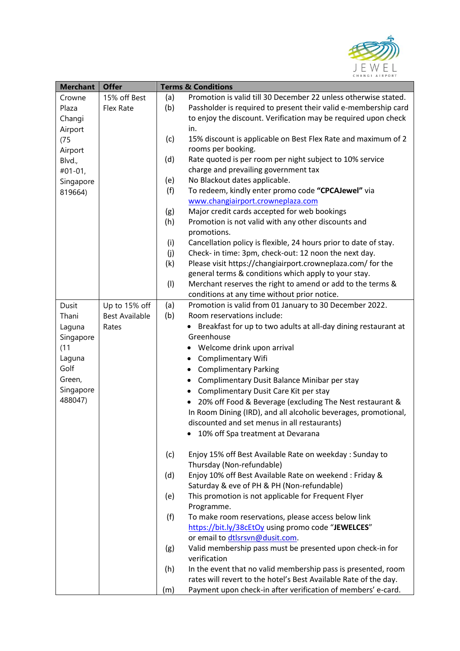

| <b>Merchant</b> | <b>Offer</b>          |     | <b>Terms &amp; Conditions</b>                                                                        |
|-----------------|-----------------------|-----|------------------------------------------------------------------------------------------------------|
| Crowne          | 15% off Best          | (a) | Promotion is valid till 30 December 22 unless otherwise stated.                                      |
| Plaza           | Flex Rate             | (b) | Passholder is required to present their valid e-membership card                                      |
| Changi          |                       |     | to enjoy the discount. Verification may be required upon check                                       |
| Airport         |                       |     | in.                                                                                                  |
| (75)            |                       | (c) | 15% discount is applicable on Best Flex Rate and maximum of 2                                        |
| Airport         |                       |     | rooms per booking.                                                                                   |
|                 |                       | (d) | Rate quoted is per room per night subject to 10% service                                             |
| Blvd.,          |                       |     | charge and prevailing government tax                                                                 |
| $#01-01,$       |                       | (e) | No Blackout dates applicable.                                                                        |
| Singapore       |                       |     | To redeem, kindly enter promo code "CPCAJewel" via                                                   |
| 819664)         |                       | (f) |                                                                                                      |
|                 |                       |     | www.changiairport.crowneplaza.com                                                                    |
|                 |                       | (g) | Major credit cards accepted for web bookings                                                         |
|                 |                       | (h) | Promotion is not valid with any other discounts and                                                  |
|                 |                       |     | promotions.                                                                                          |
|                 |                       | (i) | Cancellation policy is flexible, 24 hours prior to date of stay.                                     |
|                 |                       | (j) | Check- in time: 3pm, check-out: 12 noon the next day.                                                |
|                 |                       | (k) | Please visit https://changiairport.crowneplaza.com/ for the                                          |
|                 |                       |     | general terms & conditions which apply to your stay.                                                 |
|                 |                       | (1) | Merchant reserves the right to amend or add to the terms &                                           |
|                 |                       |     | conditions at any time without prior notice.                                                         |
| Dusit           | Up to 15% off         | (a) | Promotion is valid from 01 January to 30 December 2022.                                              |
| Thani           | <b>Best Available</b> | (b) | Room reservations include:                                                                           |
| Laguna          | Rates                 |     | Breakfast for up to two adults at all-day dining restaurant at                                       |
| Singapore       |                       |     | Greenhouse                                                                                           |
| (11)            |                       |     | Welcome drink upon arrival<br>٠                                                                      |
| Laguna          |                       |     | <b>Complimentary Wifi</b><br>٠                                                                       |
| Golf            |                       |     | <b>Complimentary Parking</b><br>$\bullet$                                                            |
| Green,          |                       |     | Complimentary Dusit Balance Minibar per stay<br>$\bullet$                                            |
| Singapore       |                       |     | Complimentary Dusit Care Kit per stay<br>$\bullet$                                                   |
| 488047)         |                       |     | 20% off Food & Beverage (excluding The Nest restaurant &                                             |
|                 |                       |     | In Room Dining (IRD), and all alcoholic beverages, promotional,                                      |
|                 |                       |     | discounted and set menus in all restaurants)                                                         |
|                 |                       |     |                                                                                                      |
|                 |                       |     | 10% off Spa treatment at Devarana                                                                    |
|                 |                       |     | Enjoy 15% off Best Available Rate on weekday: Sunday to                                              |
|                 |                       | (c) |                                                                                                      |
|                 |                       |     | Thursday (Non-refundable)                                                                            |
|                 |                       | (d) | Enjoy 10% off Best Available Rate on weekend: Friday &<br>Saturday & eve of PH & PH (Non-refundable) |
|                 |                       |     |                                                                                                      |
|                 |                       | (e) | This promotion is not applicable for Frequent Flyer                                                  |
|                 |                       |     | Programme.                                                                                           |
|                 |                       | (f) | To make room reservations, please access below link                                                  |
|                 |                       |     | https://bit.ly/38cEtOy using promo code "JEWELCES"                                                   |
|                 |                       |     | or email to dtlsrsvn@dusit.com.                                                                      |
|                 |                       | (g) | Valid membership pass must be presented upon check-in for                                            |
|                 |                       |     | verification                                                                                         |
|                 |                       | (h) | In the event that no valid membership pass is presented, room                                        |
|                 |                       |     | rates will revert to the hotel's Best Available Rate of the day.                                     |
|                 |                       | (m) | Payment upon check-in after verification of members' e-card.                                         |